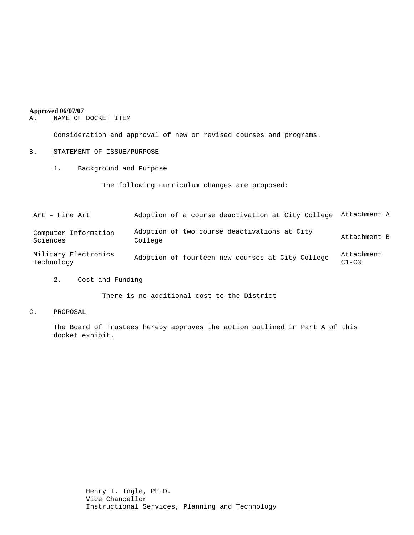# **Approved 06/07/07**<br>A. **NAME OF**

# NAME OF DOCKET ITEM

Consideration and approval of new or revised courses and programs.

# B. STATEMENT OF ISSUE/PURPOSE

1. Background and Purpose

The following curriculum changes are proposed:

| Art - Fine Art                     | Adoption of a course deactivation at City College       | Attachment A            |
|------------------------------------|---------------------------------------------------------|-------------------------|
| Computer Information<br>Sciences   | Adoption of two course deactivations at City<br>College | Attachment B            |
| Military Electronics<br>Technology | Adoption of fourteen new courses at City College        | Attachment<br>$C1 - C3$ |

2. Cost and Funding

There is no additional cost to the District

# C. PROPOSAL

The Board of Trustees hereby approves the action outlined in Part A of this docket exhibit.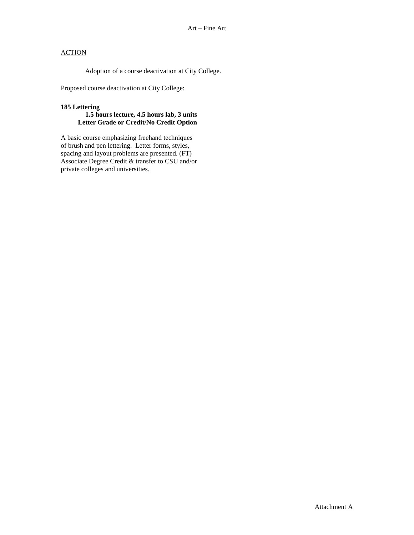# **ACTION**

Adoption of a course deactivation at City College.

Proposed course deactivation at City College:

#### **185 Lettering**

# **1.5 hours lecture, 4.5 hours lab, 3 units Letter Grade or Credit/No Credit Option**

A basic course emphasizing freehand techniques of brush and pen lettering. Letter forms, styles, spacing and layout problems are presented. (FT) Associate Degree Credit & transfer to CSU and/or private colleges and universities.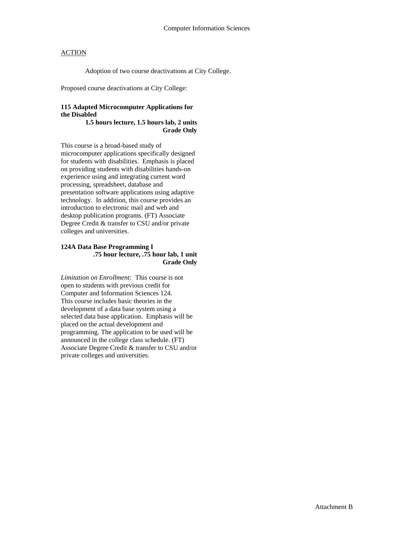# **ACTION**

Adoption of two course deactivations at City College.

Proposed course deactivations at City College:

# **115 Adapted Microcomputer Applications for the Disabled**

 **1.5 hours lecture, 1.5 hours lab, 2 units Grade Only** 

This course is a broad-based study of microcomputer applications specifically designed for students with disabilities. Emphasis is placed on providing students with disabilities hands-on experience using and integrating current word processing, spreadsheet, database and presentation software applications using adaptive technology. In addition, this course provides an introduction to electronic mail and web and desktop publication programs. (FT) Associate Degree Credit & transfer to CSU and/or private colleges and universities.

#### **124A Data Base Programming I .75 hour lecture, .75 hour lab, 1 unit Grade Only**

*Limitation on Enrollment:* This course is not open to students with previous credit for Computer and Information Sciences 124. This course includes basic theories in the development of a data base system using a selected data base application. Emphasis will be placed on the actual development and programming. The application to be used will be announced in the college class schedule. (FT) Associate Degree Credit & transfer to CSU and/or private colleges and universities.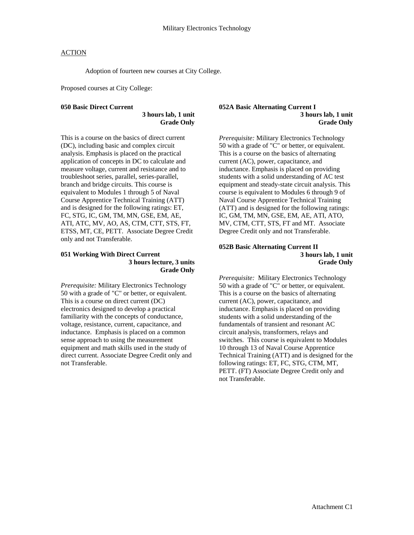# **ACTION**

Adoption of fourteen new courses at City College.

Proposed courses at City College:

#### **050 Basic Direct Current**

 **3 hours lab, 1 unit Grade Only** 

This is a course on the basics of direct current (DC), including basic and complex circuit analysis. Emphasis is placed on the practical application of concepts in DC to calculate and measure voltage, current and resistance and to troubleshoot series, parallel, series-parallel, branch and bridge circuits. This course is equivalent to Modules 1 through 5 of Naval Course Apprentice Technical Training (ATT) and is designed for the following ratings: ET, FC, STG, IC, GM, TM, MN, GSE, EM, AE, ATI, ATC, MV, AO, AS, CTM, CTT, STS, FT, ETSS, MT, CE, PETT. Associate Degree Credit only and not Transferable.

#### **051 Working With Direct Current 3 hours lecture, 3 units Grade Only**

*Prerequisite:* Military Electronics Technology 50 with a grade of "C" or better, or equivalent. This is a course on direct current (DC) electronics designed to develop a practical familiarity with the concepts of conductance, voltage, resistance, current, capacitance, and inductance. Emphasis is placed on a common sense approach to using the measurement equipment and math skills used in the study of direct current. Associate Degree Credit only and not Transferable.

#### **052A Basic Alternating Current I 3 hours lab, 1 unit Grade Only**

*Prerequisite:* Military Electronics Technology 50 with a grade of "C" or better, or equivalent. This is a course on the basics of alternating current (AC), power, capacitance, and inductance. Emphasis is placed on providing students with a solid understanding of AC test equipment and steady-state circuit analysis. This course is equivalent to Modules 6 through 9 of Naval Course Apprentice Technical Training (ATT) and is designed for the following ratings: IC, GM, TM, MN, GSE, EM, AE, ATI, ATO, MV, CTM, CTT, STS, FT and MT. Associate Degree Credit only and not Transferable.

#### **052B Basic Alternating Current II 3 hours lab, 1 unit Grade Only**

*Prerequisite:* Military Electronics Technology 50 with a grade of "C" or better, or equivalent. This is a course on the basics of alternating current (AC), power, capacitance, and inductance. Emphasis is placed on providing students with a solid understanding of the fundamentals of transient and resonant AC circuit analysis, transformers, relays and switches. This course is equivalent to Modules 10 through 13 of Naval Course Apprentice Technical Training (ATT) and is designed for the following ratings: ET, FC, STG, CTM, MT, PETT. (FT) Associate Degree Credit only and not Transferable.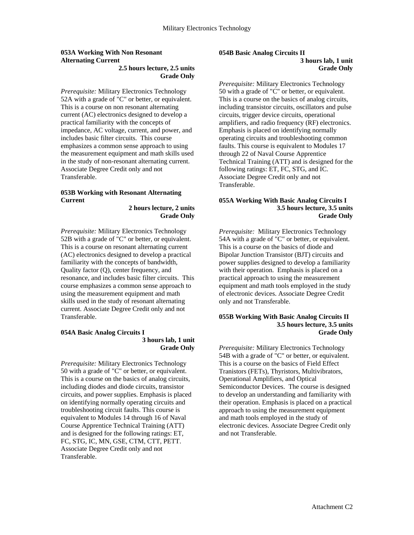# **053A Working With Non Resonant Alternating Current**

# **2.5 hours lecture, 2.5 units Grade Only**

*Prerequisite:* Military Electronics Technology 52A with a grade of "C" or better, or equivalent. This is a course on non resonant alternating current (AC) electronics designed to develop a practical familiarity with the concepts of impedance, AC voltage, current, and power, and includes basic filter circuits. This course emphasizes a common sense approach to using the measurement equipment and math skills used in the study of non-resonant alternating current. Associate Degree Credit only and not Transferable.

# **053B Working with Resonant Alternating Current**

 **2 hours lecture, 2 units Grade Only** 

*Prerequisite:* Military Electronics Technology 52B with a grade of "C" or better, or equivalent. This is a course on resonant alternating current (AC) electronics designed to develop a practical familiarity with the concepts of bandwidth, Quality factor (Q), center frequency, and resonance, and includes basic filter circuits. This course emphasizes a common sense approach to using the measurement equipment and math skills used in the study of resonant alternating current. Associate Degree Credit only and not Transferable.

#### **054A Basic Analog Circuits I 3 hours lab, 1 unit Grade Only**

*Prerequisite:* Military Electronics Technology 50 with a grade of "C" or better, or equivalent. This is a course on the basics of analog circuits, including diodes and diode circuits, transistor circuits, and power supplies. Emphasis is placed on identifying normally operating circuits and troubleshooting circuit faults. This course is equivalent to Modules 14 through 16 of Naval Course Apprentice Technical Training (ATT) and is designed for the following ratings: ET, FC, STG, IC, MN, GSE, CTM, CTT, PETT. Associate Degree Credit only and not Transferable.

# **054B Basic Analog Circuits II 3 hours lab, 1 unit Grade Only**

*Prerequisite:* Military Electronics Technology 50 with a grade of "C" or better, or equivalent. This is a course on the basics of analog circuits, including transistor circuits, oscillators and pulse circuits, trigger device circuits, operational amplifiers, and radio frequency (RF) electronics. Emphasis is placed on identifying normally operating circuits and troubleshooting common faults. This course is equivalent to Modules 17 through 22 of Naval Course Apprentice Technical Training (ATT) and is designed for the following ratings: ET, FC, STG, and IC. Associate Degree Credit only and not Transferable.

# **055A Working With Basic Analog Circuits I 3.5 hours lecture, 3.5 units Grade Only**

*Prerequisite:* Military Electronics Technology 54A with a grade of "C" or better, or equivalent. This is a course on the basics of diode and Bipolar Junction Transistor (BJT) circuits and power supplies designed to develop a familiarity with their operation. Emphasis is placed on a practical approach to using the measurement equipment and math tools employed in the study of electronic devices. Associate Degree Credit only and not Transferable.

#### **055B Working With Basic Analog Circuits II 3.5 hours lecture, 3.5 units Grade Only**

*Prerequisite:* Military Electronics Technology 54B with a grade of "C" or better, or equivalent. This is a course on the basics of Field Effect Tranistors (FETs), Thyristors, Multivibrators, Operational Amplifiers, and Optical Semiconductor Devices. The course is designed to develop an understanding and familiarity with their operation. Emphasis is placed on a practical approach to using the measurement equipment and math tools employed in the study of electronic devices. Associate Degree Credit only and not Transferable.